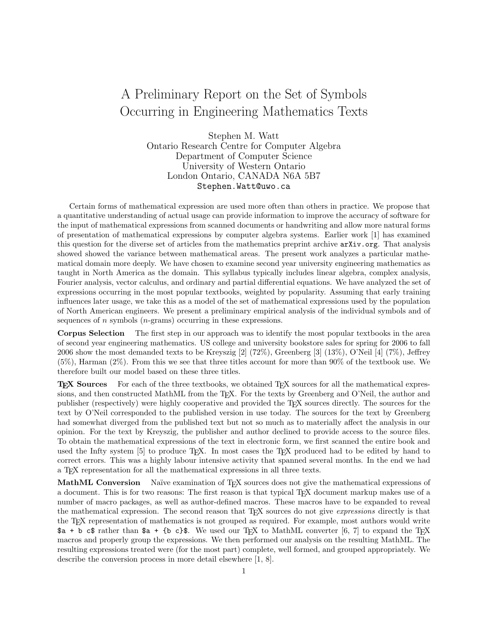## A Preliminary Report on the Set of Symbols Occurring in Engineering Mathematics Texts

Stephen M. Watt Ontario Research Centre for Computer Algebra Department of Computer Science University of Western Ontario London Ontario, CANADA N6A 5B7 Stephen.Watt@uwo.ca

Certain forms of mathematical expression are used more often than others in practice. We propose that a quantitative understanding of actual usage can provide information to improve the accuracy of software for the input of mathematical expressions from scanned documents or handwriting and allow more natural forms of presentation of mathematical expressions by computer algebra systems. Earlier work [1] has examined this question for the diverse set of articles from the mathematics preprint archive arXiv.org. That analysis showed showed the variance between mathematical areas. The present work analyzes a particular mathematical domain more deeply. We have chosen to examine second year university engineering mathematics as taught in North America as the domain. This syllabus typically includes linear algebra, complex analysis, Fourier analysis, vector calculus, and ordinary and partial differential equations. We have analyzed the set of expressions occurring in the most popular textbooks, weighted by popularity. Assuming that early training influences later usage, we take this as a model of the set of mathematical expressions used by the population of North American engineers. We present a preliminary empirical analysis of the individual symbols and of sequences of  $n$  symbols  $(n$ -grams) occurring in these expressions.

Corpus Selection The first step in our approach was to identify the most popular textbooks in the area of second year engineering mathematics. US college and university bookstore sales for spring for 2006 to fall 2006 show the most demanded texts to be Kreyszig [2] (72%), Greenberg [3] (13%), O'Neil [4] (7%), Jeffrey (5%), Harman (2%). From this we see that three titles account for more than 90% of the textbook use. We therefore built our model based on these three titles.

**TEX Sources** For each of the three textbooks, we obtained TEX sources for all the mathematical expressions, and then constructed MathML from the TEX. For the texts by Greenberg and O'Neil, the author and publisher (respectively) were highly cooperative and provided the TEX sources directly. The sources for the text by O'Neil corresponded to the published version in use today. The sources for the text by Greenberg had somewhat diverged from the published text but not so much as to materially affect the analysis in our opinion. For the text by Kreyszig, the publisher and author declined to provide access to the source files. To obtain the mathematical expressions of the text in electronic form, we first scanned the entire book and used the Infty system [5] to produce T<sub>E</sub>X. In most cases the T<sub>E</sub>X produced had to be edited by hand to correct errors. This was a highly labour intensive activity that spanned several months. In the end we had a TEX representation for all the mathematical expressions in all three texts.

MathML Conversion Naïve examination of TFX sources does not give the mathematical expressions of a document. This is for two reasons: The first reason is that typical TEX document markup makes use of a number of macro packages, as well as author-defined macros. These macros have to be expanded to reveal the mathematical expression. The second reason that T<sub>E</sub>X sources do not give *expressions* directly is that the TEX representation of mathematics is not grouped as required. For example, most authors would write  $a + b c$  rather than  $a + \{b c\}$ . We used our T<sub>F</sub>X to MathML converter [6, 7] to expand the T<sub>F</sub>X macros and properly group the expressions. We then performed our analysis on the resulting MathML. The resulting expressions treated were (for the most part) complete, well formed, and grouped appropriately. We describe the conversion process in more detail elsewhere [1, 8].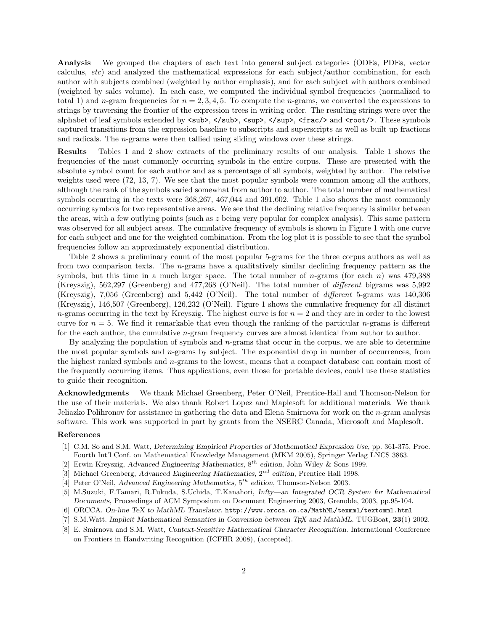Analysis We grouped the chapters of each text into general subject categories (ODEs, PDEs, vector calculus, etc) and analyzed the mathematical expressions for each subject/author combination, for each author with subjects combined (weighted by author emphasis), and for each subject with authors combined (weighted by sales volume). In each case, we computed the individual symbol frequencies (normalized to total 1) and n-gram frequencies for  $n = 2, 3, 4, 5$ . To compute the n-grams, we converted the expressions to strings by traversing the frontier of the expression trees in writing order. The resulting strings were over the alphabet of leaf symbols extended by  $\langle \text{sub}\rangle$ ,  $\langle \text{sub}\rangle$ ,  $\langle \text{sup}\rangle$ ,  $\langle \text{sup}\rangle$ ,  $\langle \text{sup}\rangle$ ,  $\langle \text{frac}\rangle$  and  $\langle \text{root}\rangle$ . These symbols captured transitions from the expression baseline to subscripts and superscripts as well as built up fractions and radicals. The n-grams were then tallied using sliding windows over these strings.

Results Tables 1 and 2 show extracts of the preliminary results of our analysis. Table 1 shows the frequencies of the most commonly occurring symbols in the entire corpus. These are presented with the absolute symbol count for each author and as a percentage of all symbols, weighted by author. The relative weights used were (72, 13, 7). We see that the most popular symbols were common among all the authors, although the rank of the symbols varied somewhat from author to author. The total number of mathematical symbols occurring in the texts were 368,267, 467,044 and 391,602. Table 1 also shows the most commonly occurring symbols for two representative areas. We see that the declining relative frequency is similar between the areas, with a few outlying points (such as  $z$  being very popular for complex analysis). This same pattern was observed for all subject areas. The cumulative frequency of symbols is shown in Figure 1 with one curve for each subject and one for the weighted combination. From the log plot it is possible to see that the symbol frequencies follow an approximately exponential distribution.

Table 2 shows a preliminary count of the most popular 5-grams for the three corpus authors as well as from two comparison texts. The n-grams have a qualitatively similar declining frequency pattern as the symbols, but this time in a much larger space. The total number of n-grams (for each  $n$ ) was 479,388 (Kreyszig), 562,297 (Greenberg) and 477,268 (O'Neil). The total number of different bigrams was 5,992 (Kreyszig), 7,056 (Greenberg) and 5,442 (O'Neil). The total number of different 5-grams was 140,306 (Kreyszig), 146,507 (Greenberg), 126,232 (O'Neil). Figure 1 shows the cumulative frequency for all distinct  $n$ -grams occurring in the text by Kreyszig. The highest curve is for  $n = 2$  and they are in order to the lowest curve for  $n = 5$ . We find it remarkable that even though the ranking of the particular *n*-grams is different for the each author, the cumulative  $n$ -gram frequency curves are almost identical from author to author.

By analyzing the population of symbols and  $n$ -grams that occur in the corpus, we are able to determine the most popular symbols and  $n$ -grams by subject. The exponential drop in number of occurrences, from the highest ranked symbols and n-grams to the lowest, means that a compact database can contain most of the frequently occurring items. Thus applications, even those for portable devices, could use these statistics to guide their recognition.

Acknowledgments We thank Michael Greenberg, Peter O'Neil, Prentice-Hall and Thomson-Nelson for the use of their materials. We also thank Robert Lopez and Maplesoft for additional materials. We thank Jeliazko Polihronov for assistance in gathering the data and Elena Smirnova for work on the n-gram analysis software. This work was supported in part by grants from the NSERC Canada, Microsoft and Maplesoft.

## References

- [1] C.M. So and S.M. Watt, Determining Empirical Properties of Mathematical Expression Use, pp. 361-375, Proc. Fourth Int'l Conf. on Mathematical Knowledge Management (MKM 2005), Springer Verlag LNCS 3863.
- [2] Erwin Kreyszig, Advanced Engineering Mathematics,  $8^{th}$  edition, John Wiley & Sons 1999.
- [3] Michael Greenberg, Advanced Engineering Mathematics,  $2^{nd}$  edition, Prentice Hall 1998.
- [4] Peter O'Neil, Advanced Engineering Mathematics,  $5^{th}$  edition, Thomson-Nelson 2003.
- [5] M.Suzuki, F.Tamari, R.Fukuda, S.Uchida, T.Kanahori, Infty—an Integrated OCR System for Mathematical Documents, Proceedings of ACM Symposium on Document Engineering 2003, Grenoble, 2003, pp.95-104.
- [6] ORCCA. On-line TeX to MathML Translator. http://www.orcca.on.ca/MathML/texmml/textomml.html
- [7] S.M.Watt. Implicit Mathematical Semantics in Conversion between T<sub>E</sub>X and MathML. TUGBoat, 23(1) 2002.
- [8] E. Smirnova and S.M. Watt, Context-Sensitive Mathematical Character Recognition. International Conference on Frontiers in Handwriting Recognition (ICFHR 2008), (accepted).